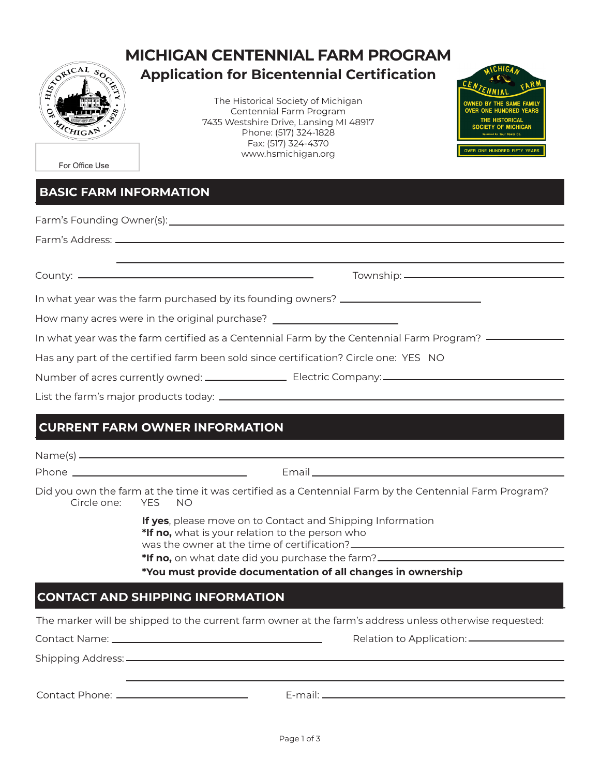

# **MICHIGAN CENTENNIAL FARM PROGRAM Application for Bicentennial Certification**

The Historical Society of Michigan Centennial Farm Program 7435 Westshire Drive, Lansing MI 48917 Phone: (517) 324-1828 Fax: (517) 324-4370 www.hsmichigan.org



For Office Use

### **BASIC FARM INFORMATION**

| <u> 1989 - Andrea Station, amerikansk politik (d. 1989)</u>                                      |  |  |  |  |  |
|--------------------------------------------------------------------------------------------------|--|--|--|--|--|
|                                                                                                  |  |  |  |  |  |
| In what year was the farm purchased by its founding owners? _____________________                |  |  |  |  |  |
| How many acres were in the original purchase? __________________________________                 |  |  |  |  |  |
| In what year was the farm certified as a Centennial Farm by the Centennial Farm Program? ——————— |  |  |  |  |  |
| Has any part of the certified farm been sold since certification? Circle one: YES NO             |  |  |  |  |  |
|                                                                                                  |  |  |  |  |  |
|                                                                                                  |  |  |  |  |  |
| <b>CURRENT FARM OWNER INFORMATION</b>                                                            |  |  |  |  |  |

|                                                             | Did you own the farm at the time it was certified as a Centennial Farm by the Centennial Farm Program?<br>Circle one: YES NO                                                                      |  |  |  |  |  |
|-------------------------------------------------------------|---------------------------------------------------------------------------------------------------------------------------------------------------------------------------------------------------|--|--|--|--|--|
|                                                             | If yes, please move on to Contact and Shipping Information<br>*If no, what is your relation to the person who<br>*If no, on what date did you purchase the farm?_________________________________ |  |  |  |  |  |
| *You must provide documentation of all changes in ownership |                                                                                                                                                                                                   |  |  |  |  |  |
|                                                             | <b>CONTACT AND SHIPPING INFORMATION</b>                                                                                                                                                           |  |  |  |  |  |
|                                                             | The marker will be shipped to the current farm owner at the farm's address unless otherwise requested:                                                                                            |  |  |  |  |  |
|                                                             |                                                                                                                                                                                                   |  |  |  |  |  |
|                                                             |                                                                                                                                                                                                   |  |  |  |  |  |
|                                                             | Contact Phone: ___________________________                                                                                                                                                        |  |  |  |  |  |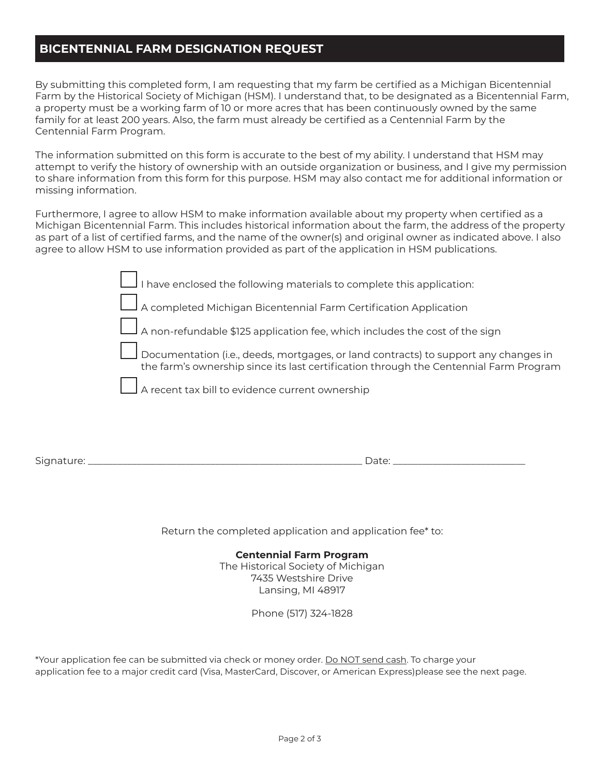### **BICENTENNIAL FARM DESIGNATION REQUEST**

By submitting this completed form, I am requesting that my farm be certified as a Michigan Bicentennial Farm by the Historical Society of Michigan (HSM). I understand that, to be designated as a Bicentennial Farm, a property must be a working farm of 10 or more acres that has been continuously owned by the same family for at least 200 years. Also, the farm must already be certified as a Centennial Farm by the Centennial Farm Program.

The information submitted on this form is accurate to the best of my ability. I understand that HSM may attempt to verify the history of ownership with an outside organization or business, and I give my permission to share information from this form for this purpose. HSM may also contact me for additional information or missing information.

Furthermore, I agree to allow HSM to make information available about my property when certified as a Michigan Bicentennial Farm. This includes historical information about the farm, the address of the property as part of a list of certified farms, and the name of the owner(s) and original owner as indicated above. I also agree to allow HSM to use information provided as part of the application in HSM publications.

| I have enclosed the following materials to complete this application:                                                                                                                |
|--------------------------------------------------------------------------------------------------------------------------------------------------------------------------------------|
| $\Box$ A completed Michigan Bicentennial Farm Certification Application                                                                                                              |
| $\Box$ A non-refundable \$125 application fee, which includes the cost of the sign                                                                                                   |
| $\vert$ Documentation (i.e., deeds, mortgages, or land contracts) to support any changes in<br>the farm's ownership since its last certification through the Centennial Farm Program |
| $\Box$ A recent tax bill to evidence current ownership                                                                                                                               |
|                                                                                                                                                                                      |

Signature: \_\_\_\_\_\_\_\_\_\_\_\_\_\_\_\_\_\_\_\_\_\_\_\_\_\_\_\_\_\_\_\_\_\_\_\_\_\_\_\_\_\_\_\_\_\_\_\_\_\_\_\_\_\_\_\_ Date: \_\_\_\_\_\_\_\_\_\_\_\_\_\_\_\_\_\_\_\_\_\_\_\_\_\_\_

Return the completed application and application fee\* to:

#### **Centennial Farm Program**

The Historical Society of Michigan 7435 Westshire Drive Lansing, MI 48917

Phone (517) 324-1828

\*Your application fee can be submitted via check or money order. Do NOT send cash. To charge your application fee to a major credit card (Visa, MasterCard, Discover, or American Express)please see the next page.